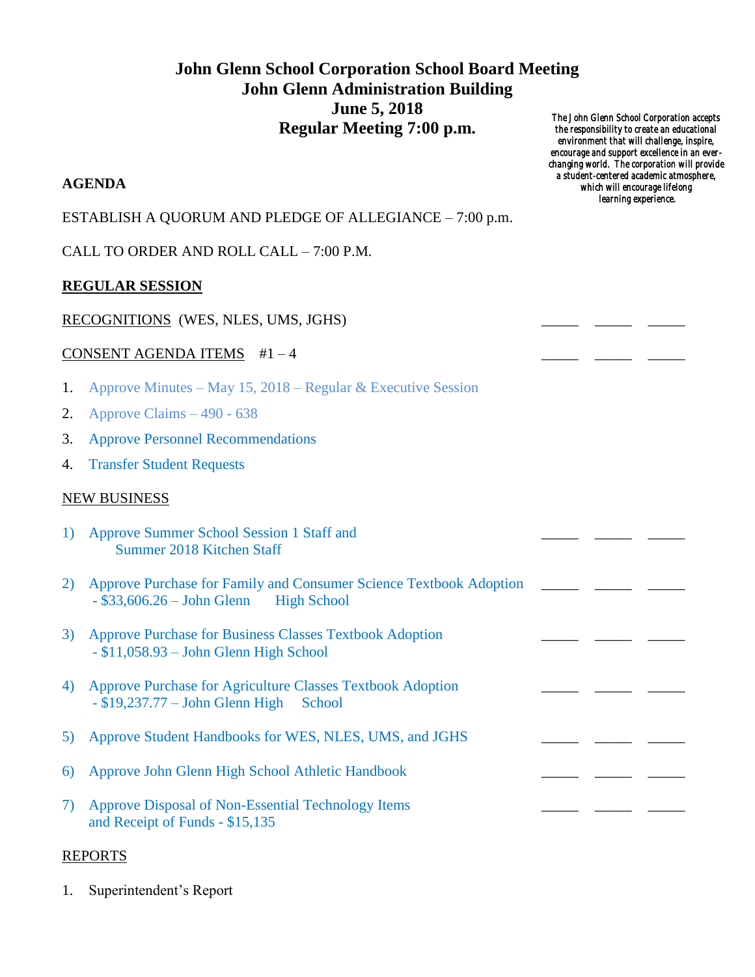# **John Glenn School Corporation School Board Meeting John Glenn Administration Building June 5, 2018 Regular Meeting 7:00 p.m.**

## **AGENDA**

### ESTABLISH A QUORUM AND PLEDGE OF ALLEGIANCE – 7:00 p.m.

CALL TO ORDER AND ROLL CALL – 7:00 P.M.

## **REGULAR SESSION**

#### RECOGNITIONS (WES, NLES, UMS, JGHS)

#### CONSENT AGENDA ITEMS  $#1-4$

- 1. Approve Minutes May 15, 2018 Regular & Executive Session
- 2. Approve Claims 490 638
- 3. Approve Personnel Recommendations
- 4. Transfer Student Requests

### NEW BUSINESS

| 1) | Approve Summer School Session 1 Staff and<br>Summer 2018 Kitchen Staff                                         |  |  |  |
|----|----------------------------------------------------------------------------------------------------------------|--|--|--|
| 2) | Approve Purchase for Family and Consumer Science Textbook Adoption<br>$-$ \$33,606.26 - John Glenn High School |  |  |  |
| 3) | <b>Approve Purchase for Business Classes Textbook Adoption</b><br>$- $11,058.93 - John Glenn High School$      |  |  |  |
| 4) | Approve Purchase for Agriculture Classes Textbook Adoption<br>$-$ \$19,237.77 – John Glenn High<br>School      |  |  |  |
| 5) | Approve Student Handbooks for WES, NLES, UMS, and JGHS                                                         |  |  |  |
| 6) | Approve John Glenn High School Athletic Handbook                                                               |  |  |  |
| 7) | Approve Disposal of Non-Essential Technology Items<br>and Receipt of Funds - \$15,135                          |  |  |  |
|    |                                                                                                                |  |  |  |

# REPORTS

1. Superintendent's Report

*The John Glenn School Corporation accepts the responsibility to create an educational environment that will challenge, inspire, encourage and support excellence in an everchanging world. The corporation will provide a student-centered academic atmosphere, which will encourage lifelong learning experience.*